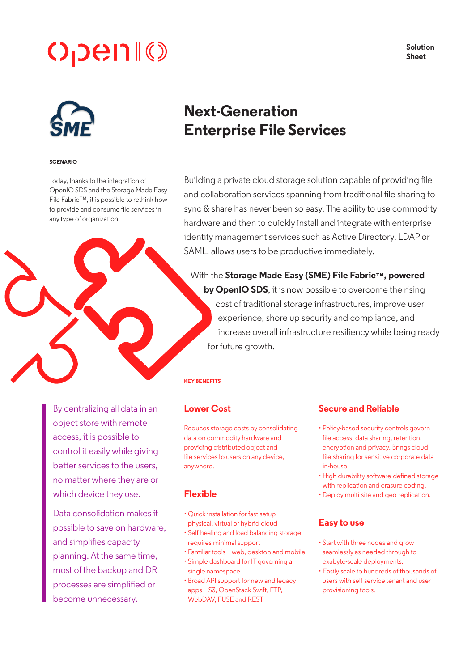# $O$ <sub>D</sub>en $\mathbb{I}(\mathbb{C})$

**Solution Sheet**



#### **SCENARIO**

Today, thanks to the integration of OpenIO SDS and the Storage Made Easy File Fabric™, it is possible to rethink how to provide and consume file services in any type of organization.

# **Next-Generation Enterprise File Services**

Building a private cloud storage solution capable of providing file and collaboration services spanning from traditional file sharing to sync & share has never been so easy. The ability to use commodity hardware and then to quickly install and integrate with enterprise identity management services such as Active Directory, LDAP or SAML, allows users to be productive immediately.

With the **Storage Made Easy (SME) File Fabric™, powered by OpenIO SDS**, it is now possible to overcome the rising cost of traditional storage infrastructures, improve user experience, shore up security and compliance, and increase overall infrastructure resiliency while being ready for future growth.

#### **KEY BENEFITS**

By centralizing all data in an object store with remote access, it is possible to control it easily while giving better services to the users, no matter where they are or which device they use.

Data consolidation makes it possible to save on hardware, and simplifies capacity planning. At the same time, most of the backup and DR processes are simplified or become unnecessary.

#### **Lower Cost**

Reduces storage costs by consolidating data on commodity hardware and providing distributed object and file services to users on any device, anywhere.

#### **Flexible**

- Quick installation for fast setup physical, virtual or hybrid cloud
- Self-healing and load balancing storage requires minimal support
- Familiar tools web, desktop and mobile
- Simple dashboard for IT governing a single namespace
- Broad API support for new and legacy apps – S3, OpenStack Swift, FTP, WebDAV, FUSE and REST

#### **Secure and Reliable**

- Policy-based security controls govern file access, data sharing, retention, encryption and privacy. Brings cloud file-sharing for sensitive corporate data in-house.
- High durability software-defined storage with replication and erasure coding.
- Deploy multi-site and geo-replication.

## **Easy to use**

- Start with three nodes and grow seamlessly as needed through to exabyte-scale deployments.
- Easily scale to hundreds of thousands of users with self-service tenant and user provisioning tools.